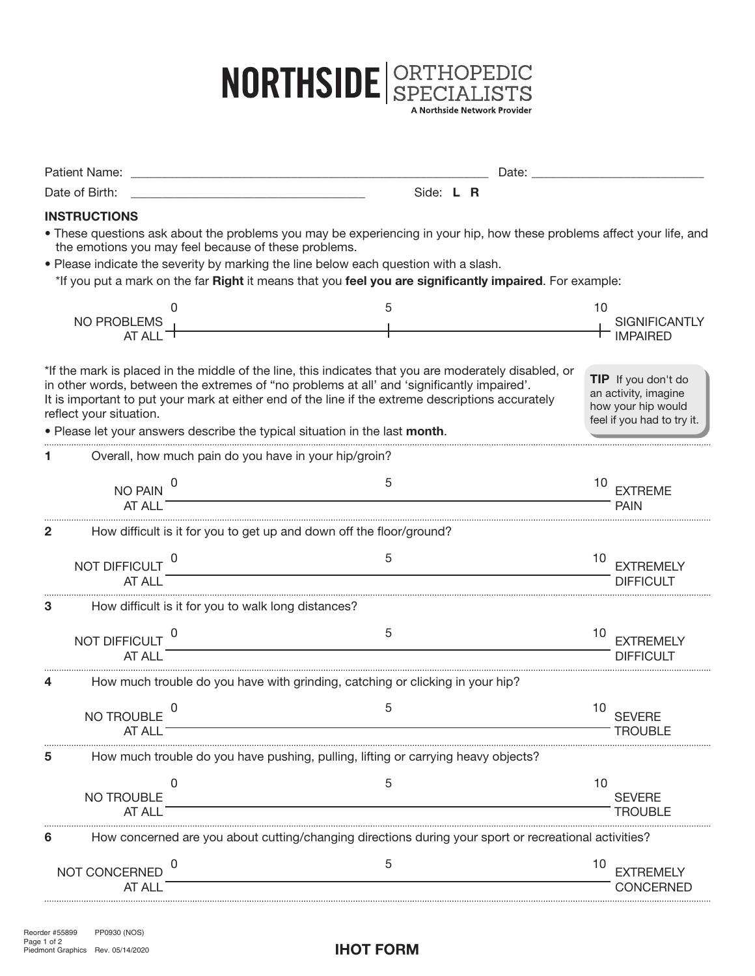

| Patient Name:               |                                                                                                                                                                                                                                                                                                                                                                                         | Date: and the state of the state of the state of the state of the state of the state of the state of the state of the state of the state of the state of the state of the state of the state of the state of the state of the |                                                                                                 |
|-----------------------------|-----------------------------------------------------------------------------------------------------------------------------------------------------------------------------------------------------------------------------------------------------------------------------------------------------------------------------------------------------------------------------------------|-------------------------------------------------------------------------------------------------------------------------------------------------------------------------------------------------------------------------------|-------------------------------------------------------------------------------------------------|
| Date of Birth:              |                                                                                                                                                                                                                                                                                                                                                                                         | Side: L R                                                                                                                                                                                                                     |                                                                                                 |
| <b>INSTRUCTIONS</b>         |                                                                                                                                                                                                                                                                                                                                                                                         |                                                                                                                                                                                                                               |                                                                                                 |
|                             | • These questions ask about the problems you may be experiencing in your hip, how these problems affect your life, and<br>the emotions you may feel because of these problems.<br>. Please indicate the severity by marking the line below each question with a slash.<br>*If you put a mark on the far Right it means that you feel you are significantly impaired. For example:       |                                                                                                                                                                                                                               |                                                                                                 |
| NO PROBLEMS<br>AT ALL $-1$  |                                                                                                                                                                                                                                                                                                                                                                                         | 5                                                                                                                                                                                                                             | 10<br><b>SIGNIFICANTLY</b><br><b>IMPAIRED</b>                                                   |
| reflect your situation.     | *If the mark is placed in the middle of the line, this indicates that you are moderately disabled, or<br>in other words, between the extremes of "no problems at all' and 'significantly impaired'.<br>It is important to put your mark at either end of the line if the extreme descriptions accurately<br>. Please let your answers describe the typical situation in the last month. |                                                                                                                                                                                                                               | TIP If you don't do<br>an activity, imagine<br>how your hip would<br>feel if you had to try it. |
|                             | Overall, how much pain do you have in your hip/groin?                                                                                                                                                                                                                                                                                                                                   |                                                                                                                                                                                                                               |                                                                                                 |
| NO PAIN<br>AT ALL           |                                                                                                                                                                                                                                                                                                                                                                                         | 5                                                                                                                                                                                                                             | 10<br><b>EXTREME</b><br><b>PAIN</b>                                                             |
| 2                           | How difficult is it for you to get up and down off the floor/ground?                                                                                                                                                                                                                                                                                                                    |                                                                                                                                                                                                                               |                                                                                                 |
| NOT DIFFICULT<br>AT ALL     |                                                                                                                                                                                                                                                                                                                                                                                         | 5                                                                                                                                                                                                                             | 10<br><b>EXTREMELY</b><br><b>DIFFICULT</b>                                                      |
| 3                           | How difficult is it for you to walk long distances?                                                                                                                                                                                                                                                                                                                                     |                                                                                                                                                                                                                               |                                                                                                 |
| NOT DIFFICULT<br>AT ALI     |                                                                                                                                                                                                                                                                                                                                                                                         | 5                                                                                                                                                                                                                             | 10<br><b>EXTREMELY</b><br>DIFFICULT                                                             |
|                             | How much trouble do you have with grinding, catching or clicking in your hip?                                                                                                                                                                                                                                                                                                           |                                                                                                                                                                                                                               |                                                                                                 |
| <b>NO TROUBLE</b><br>AT ALL |                                                                                                                                                                                                                                                                                                                                                                                         | 5                                                                                                                                                                                                                             | 10<br><b>SEVERE</b><br><b>TROUBLE</b>                                                           |
|                             | How much trouble do you have pushing, pulling, lifting or carrying heavy objects?                                                                                                                                                                                                                                                                                                       |                                                                                                                                                                                                                               |                                                                                                 |
| NO TROUBLE<br>AT ALL        | 0                                                                                                                                                                                                                                                                                                                                                                                       | 5                                                                                                                                                                                                                             | 10<br><b>SEVERE</b><br><b>TROUBLE</b>                                                           |
| 6                           | How concerned are you about cutting/changing directions during your sport or recreational activities?                                                                                                                                                                                                                                                                                   |                                                                                                                                                                                                                               |                                                                                                 |
| NOT CONCERNED<br>AT ALL     | O                                                                                                                                                                                                                                                                                                                                                                                       | 5                                                                                                                                                                                                                             | 10<br><b>EXTREMELY</b><br>CONCERNED                                                             |